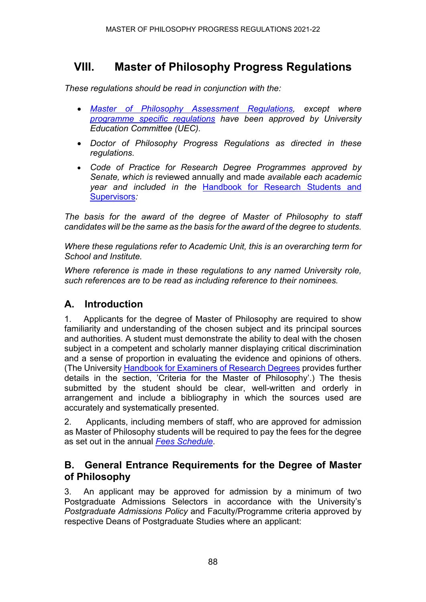# **VIII. Master of Philosophy Progress Regulations**

*These regulations should be read in conjunction with the:*

- *[Master of Philosophy Assessment Regulations,](https://www.ncl.ac.uk/regulations/docs/) except where [programme specific regulations](https://www.ncl.ac.uk/regulations/programme/) have been approved by University Education Committee (UEC).*
- *Doctor of Philosophy Progress Regulations as directed in these regulations.*
- *Code of Practice for Research Degree Programmes approved by Senate, which is* reviewed annually and made *available each academic year and included in the* [Handbook for Research Students and](https://www.ncl.ac.uk/student-progress/pgr/publications/)  [Supervisors](https://www.ncl.ac.uk/student-progress/pgr/publications/)*:*

*The basis for the award of the degree of Master of Philosophy to staff candidates will be the same as the basis for the award of the degree to students.* 

*Where these regulations refer to Academic Unit, this is an overarching term for School and Institute.*

*Where reference is made in these regulations to any named University role, such references are to be read as including reference to their nominees.*

### **A. Introduction**

1. Applicants for the degree of Master of Philosophy are required to show familiarity and understanding of the chosen subject and its principal sources and authorities. A student must demonstrate the ability to deal with the chosen subject in a competent and scholarly manner displaying critical discrimination and a sense of proportion in evaluating the evidence and opinions of others. (The University [Handbook for Examiners of Research Degrees](https://www.ncl.ac.uk/student-progress/pgr/publications/) provides further details in the section, 'Criteria for the Master of Philosophy'.) The thesis submitted by the student should be clear, well-written and orderly in arrangement and include a bibliography in which the sources used are accurately and systematically presented.

2. Applicants, including members of staff, who are approved for admission as Master of Philosophy students will be required to pay the fees for the degree as set out in the annual *[Fees Schedule](https://www.ncl.ac.uk/tuition-fees/costs/)*.

### **B. General Entrance Requirements for the Degree of Master of Philosophy**

3. An applicant may be approved for admission by a minimum of two Postgraduate Admissions Selectors in accordance with the University's *Postgraduate Admissions Policy* and Faculty/Programme criteria approved by respective Deans of Postgraduate Studies where an applicant: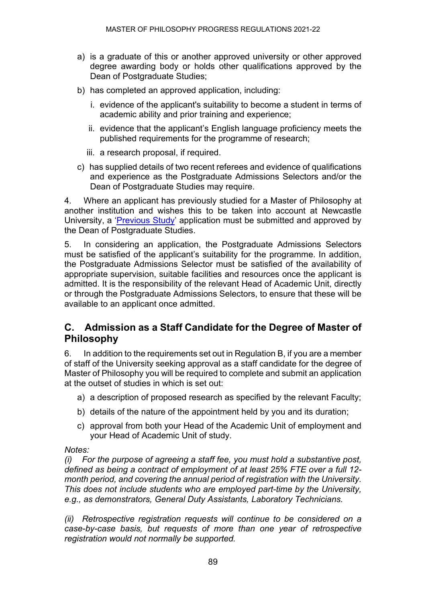- a) is a graduate of this or another approved university or other approved degree awarding body or holds other qualifications approved by the Dean of Postgraduate Studies;
- b) has completed an approved application, including:
	- i. evidence of the applicant's suitability to become a student in terms of academic ability and prior training and experience;
	- ii. evidence that the applicant's English language proficiency meets the published requirements for the programme of research;
	- iii. a research proposal, if required.
- c) has supplied details of two recent referees and evidence of qualifications and experience as the Postgraduate Admissions Selectors and/or the Dean of Postgraduate Studies may require.

4. Where an applicant has previously studied for a Master of Philosophy at another institution and wishes this to be taken into account at Newcastle University, a ['Previous Study'](https://www.ncl.ac.uk/media/wwwnclacuk/studentprogress/files/pgr/2020/FinalPreviousStudyApplicationMarch17.pdf) application must be submitted and approved by the Dean of Postgraduate Studies.

5. In considering an application, the Postgraduate Admissions Selectors must be satisfied of the applicant's suitability for the programme. In addition, the Postgraduate Admissions Selector must be satisfied of the availability of appropriate supervision, suitable facilities and resources once the applicant is admitted. It is the responsibility of the relevant Head of Academic Unit, directly or through the Postgraduate Admissions Selectors, to ensure that these will be available to an applicant once admitted.

### **C. Admission as a Staff Candidate for the Degree of Master of Philosophy**

6. In addition to the requirements set out in Regulation B, if you are a member of staff of the University seeking approval as a staff candidate for the degree of Master of Philosophy you will be required to complete and submit an application at the outset of studies in which is set out:

- a) a description of proposed research as specified by the relevant Faculty;
- b) details of the nature of the appointment held by you and its duration;
- c) approval from both your Head of the Academic Unit of employment and your Head of Academic Unit of study.

#### *Notes:*

*(i) For the purpose of agreeing a staff fee, you must hold a substantive post, defined as being a contract of employment of at least 25% FTE over a full 12 month period, and covering the annual period of registration with the University. This does not include students who are employed part-time by the University, e.g., as demonstrators, General Duty Assistants, Laboratory Technicians.*

*(ii) Retrospective registration requests will continue to be considered on a case-by-case basis, but requests of more than one year of retrospective registration would not normally be supported.*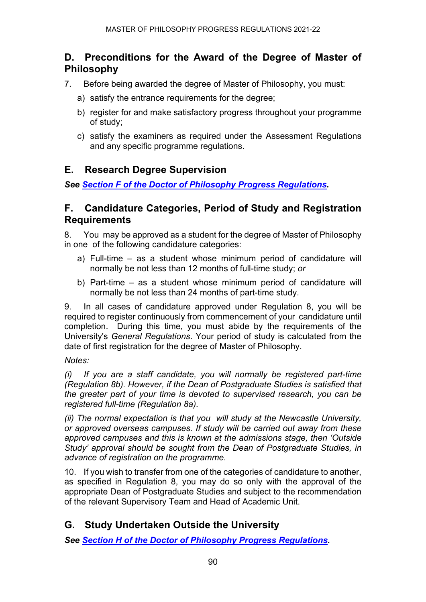### **D. Preconditions for the Award of the Degree of Master of Philosophy**

- 7. Before being awarded the degree of Master of Philosophy, you must:
	- a) satisfy the entrance requirements for the degree;
	- b) register for and make satisfactory progress throughout your programme of study;
	- c) satisfy the examiners as required under the Assessment Regulations and any specific programme regulations.

### **E. Research Degree Supervision**

*See [Section F of the Doctor of Philosophy Progress Regulations.](https://www.ncl.ac.uk/regulations/docs/)*

#### **F. Candidature Categories, Period of Study and Registration Requirements**

8. You may be approved as a student for the degree of Master of Philosophy in one of the following candidature categories:

- a) Full-time as a student whose minimum period of candidature will normally be not less than 12 months of full-time study; *or*
- b) Part-time as a student whose minimum period of candidature will normally be not less than 24 months of part-time study.

9. In all cases of candidature approved under Regulation 8, you will be required to register continuously from commencement of your candidature until completion. During this time, you must abide by the requirements of the University's *General Regulations*. Your period of study is calculated from the date of first registration for the degree of Master of Philosophy.

#### *Notes:*

*(i) If you are a staff candidate, you will normally be registered part-time (Regulation 8b). However, if the Dean of Postgraduate Studies is satisfied that the greater part of your time is devoted to supervised research, you can be registered full-time (Regulation 8a).*

*(ii) The normal expectation is that you will study at the Newcastle University, or approved overseas campuses. If study will be carried out away from these approved campuses and this is known at the admissions stage, then 'Outside Study' approval should be sought from the Dean of Postgraduate Studies, in advance of registration on the programme.*

10. If you wish to transfer from one of the categories of candidature to another, as specified in Regulation 8, you may do so only with the approval of the appropriate Dean of Postgraduate Studies and subject to the recommendation of the relevant Supervisory Team and Head of Academic Unit.

### **G. Study Undertaken Outside the University**

*See [Section H of the Doctor of Philosophy Progress Regulations.](https://www.ncl.ac.uk/regulations/docs/)*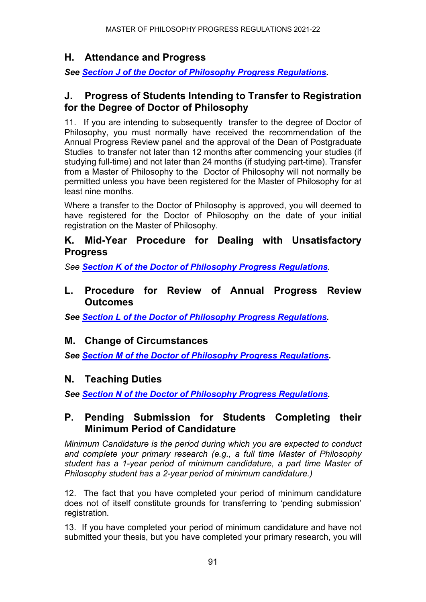## **H. Attendance and Progress**

*See [Section J of the Doctor of Philosophy Progress Regulations.](https://www.ncl.ac.uk/regulations/docs/)*

### **J. Progress of Students Intending to Transfer to Registration for the Degree of Doctor of Philosophy**

11. If you are intending to subsequently transfer to the degree of Doctor of Philosophy, you must normally have received the recommendation of the Annual Progress Review panel and the approval of the Dean of Postgraduate Studies to transfer not later than 12 months after commencing your studies (if studying full-time) and not later than 24 months (if studying part-time). Transfer from a Master of Philosophy to the Doctor of Philosophy will not normally be permitted unless you have been registered for the Master of Philosophy for at least nine months.

Where a transfer to the Doctor of Philosophy is approved, you will deemed to have registered for the Doctor of Philosophy on the date of your initial registration on the Master of Philosophy.

### **K. Mid-Year Procedure for Dealing with Unsatisfactory Progress**

*See [Section K of the Doctor of Philosophy Progress Regulations](https://www.ncl.ac.uk/regulations/docs/).* 

### **L. Procedure for Review of Annual Progress Review Outcomes**

*See [Section L of the Doctor of Philosophy Progress Regulations.](https://www.ncl.ac.uk/regulations/docs/)*

## **M. Change of Circumstances**

*See [Section M of the Doctor of Philosophy Progress Regulations.](https://www.ncl.ac.uk/regulations/docs/)*

## **N. Teaching Duties**

*See Section N [of the Doctor of Philosophy Progress Regulations.](https://www.ncl.ac.uk/regulations/docs/)*

### **P. Pending Submission for Students Completing their Minimum Period of Candidature**

*Minimum Candidature is the period during which you are expected to conduct and complete your primary research (e.g., a full time Master of Philosophy student has a 1-year period of minimum candidature, a part time Master of Philosophy student has a 2-year period of minimum candidature.)*

12. The fact that you have completed your period of minimum candidature does not of itself constitute grounds for transferring to 'pending submission' registration*.* 

13. If you have completed your period of minimum candidature and have not submitted your thesis, but you have completed your primary research, you will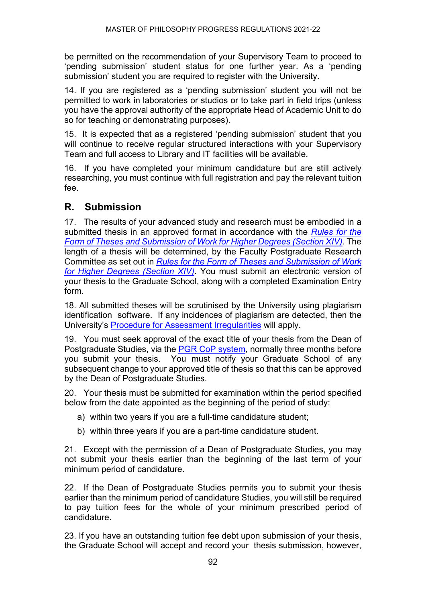be permitted on the recommendation of your Supervisory Team to proceed to 'pending submission' student status for one further year. As a 'pending submission' student you are required to register with the University.

14. If you are registered as a 'pending submission' student you will not be permitted to work in laboratories or studios or to take part in field trips (unless you have the approval authority of the appropriate Head of Academic Unit to do so for teaching or demonstrating purposes).

15. It is expected that as a registered 'pending submission' student that you will continue to receive regular structured interactions with your Supervisory Team and full access to Library and IT facilities will be available.

16. If you have completed your minimum candidature but are still actively researching, you must continue with full registration and pay the relevant tuition fee.

## **R. Submission**

17. The results of your advanced study and research must be embodied in a submitted thesis in an approved format in accordance with the *[Rules for the](https://www.ncl.ac.uk/regulations/docs/)  [Form of Theses and Submission of Work for](https://www.ncl.ac.uk/regulations/docs/) Higher Degrees (Section XIV)*. The length of a thesis will be determined, by the Faculty Postgraduate Research Committee as set out in *[Rules for the Form of Theses and Submission of Work](https://www.ncl.ac.uk/regulations/docs/)  for Higher Degrees [\(Section XIV\)](https://www.ncl.ac.uk/regulations/docs/)*. You must submit an electronic version of your thesis to the Graduate School, along with a completed Examination Entry form.

18. All submitted theses will be scrutinised by the University using plagiarism identification software. If any incidences of plagiarism are detected, then the University's [Procedure for Assessment Irregularities](https://www.ncl.ac.uk/students/progress/Regulations/Procedures/assessment.htm) will apply.

19. You must seek approval of the exact title of your thesis from the Dean of Postgraduate Studies, via the [PGR CoP system,](http://postgrad.ncl.ac.uk/) normally three months before you submit your thesis. You must notify your Graduate School of any subsequent change to your approved title of thesis so that this can be approved by the Dean of Postgraduate Studies.

20. Your thesis must be submitted for examination within the period specified below from the date appointed as the beginning of the period of study:

- a) within two years if you are a full-time candidature student;
- b) within three years if you are a part-time candidature student.

21. Except with the permission of a Dean of Postgraduate Studies, you may not submit your thesis earlier than the beginning of the last term of your minimum period of candidature.

22. If the Dean of Postgraduate Studies permits you to submit your thesis earlier than the minimum period of candidature Studies, you will still be required to pay tuition fees for the whole of your minimum prescribed period of candidature.

23. If you have an outstanding tuition fee debt upon submission of your thesis, the Graduate School will accept and record your thesis submission, however,